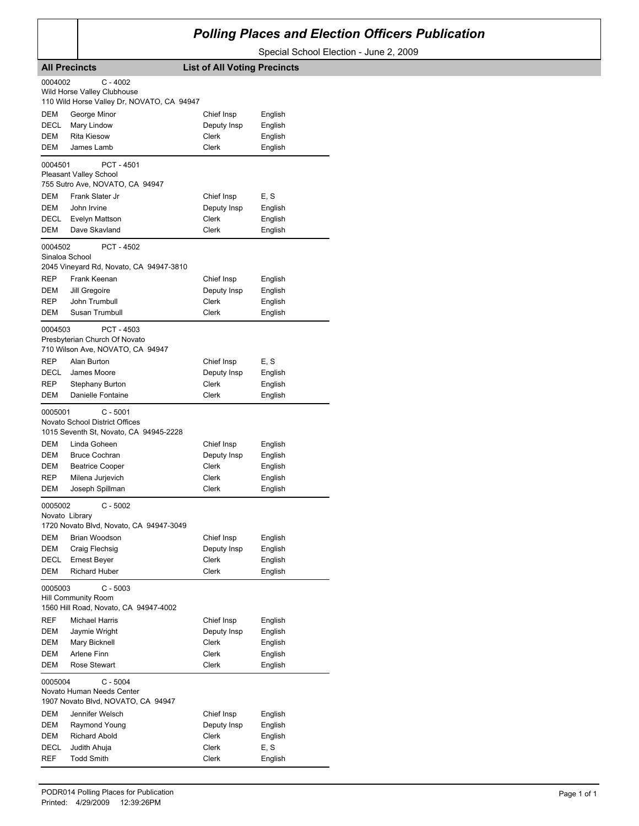## *Polling Places and Election Officers Publication*

Special School Election - June 2, 2009

|                            | <b>All Precincts</b>                       | <b>List of All Voting Precincts</b> |         |  |
|----------------------------|--------------------------------------------|-------------------------------------|---------|--|
| 0004002                    | $C - 4002$                                 |                                     |         |  |
|                            | Wild Horse Valley Clubhouse                |                                     |         |  |
|                            | 110 Wild Horse Valley Dr, NOVATO, CA 94947 |                                     |         |  |
| DEM                        | George Minor                               | Chief Insp                          | English |  |
| DECL                       | Mary Lindow                                | Deputy Insp                         | English |  |
| <b>DEM</b>                 | <b>Rita Kiesow</b>                         | Clerk                               | English |  |
| DEM                        | James Lamb                                 | <b>Clerk</b>                        | English |  |
| 0004501                    | PCT - 4501                                 |                                     |         |  |
|                            | <b>Pleasant Valley School</b>              |                                     |         |  |
|                            | 755 Sutro Ave, NOVATO, CA 94947            |                                     |         |  |
| DEM                        | Frank Slater Jr                            | Chief Insp                          | E, S    |  |
| DEM                        | John Irvine                                | Deputy Insp                         | English |  |
| DECL                       | Evelyn Mattson                             | Clerk                               | English |  |
| <b>DEM</b>                 | Dave Skavland                              | Clerk                               | English |  |
| 0004502                    | PCT - 4502                                 |                                     |         |  |
| Sinaloa School             |                                            |                                     |         |  |
|                            | 2045 Vineyard Rd, Novato, CA 94947-3810    |                                     |         |  |
| <b>REP</b>                 | Frank Keenan                               | Chief Insp                          | English |  |
| <b>DEM</b>                 | Jill Gregoire                              | Deputy Insp                         | English |  |
| REP                        | John Trumbull                              | Clerk                               | English |  |
| DEM                        | Susan Trumbull                             | Clerk                               | English |  |
| 0004503                    | PCT - 4503                                 |                                     |         |  |
|                            | Presbyterian Church Of Novato              |                                     |         |  |
|                            | 710 Wilson Ave, NOVATO, CA 94947           |                                     |         |  |
| <b>REP</b>                 | Alan Burton                                | Chief Insp                          | E, S    |  |
| DECL                       | James Moore                                | Deputy Insp                         | English |  |
| REP                        | Stephany Burton                            | Clerk                               | English |  |
| DEM                        | Danielle Fontaine                          | Clerk                               | English |  |
| 0005001                    | $C - 5001$                                 |                                     |         |  |
|                            | <b>Novato School District Offices</b>      |                                     |         |  |
|                            | 1015 Seventh St, Novato, CA 94945-2228     |                                     |         |  |
| DEM                        | Linda Goheen                               | Chief Insp                          | English |  |
| <b>DEM</b>                 | <b>Bruce Cochran</b>                       | Deputy Insp                         | English |  |
| DEM                        | <b>Beatrice Cooper</b>                     | Clerk                               | English |  |
| REP                        | Milena Jurjevich                           | Clerk                               | English |  |
| DEM                        | Joseph Spillman                            | Clerk                               | English |  |
| 0005002                    | $C - 5002$                                 |                                     |         |  |
| Novato Library             |                                            |                                     |         |  |
|                            | 1720 Novato Blvd, Novato, CA 94947-3049    |                                     |         |  |
| DEM                        | Brian Woodson                              | Chief Insp                          | English |  |
| DEM                        | Craig Flechsig                             | Deputy Insp                         | English |  |
| DECL                       | <b>Ernest Beyer</b>                        | Clerk                               | English |  |
| DEM                        | <b>Richard Huber</b>                       | Clerk                               | English |  |
| 0005003                    | $C - 5003$                                 |                                     |         |  |
| <b>Hill Community Room</b> |                                            |                                     |         |  |
|                            | 1560 Hill Road, Novato, CA 94947-4002      |                                     |         |  |
| REF                        | Michael Harris                             | Chief Insp                          | English |  |
| DEM                        | Jaymie Wright                              | Deputy Insp                         | English |  |
| DEM                        | Mary Bicknell                              | Clerk                               | English |  |
| DEM                        | Arlene Finn                                | Clerk                               | English |  |
| DEM                        | Rose Stewart                               | <b>Clerk</b>                        | English |  |
|                            |                                            |                                     |         |  |
| $C - 5004$<br>0005004      |                                            |                                     |         |  |
|                            | Novato Human Needs Center                  |                                     |         |  |
|                            | 1907 Novato Blvd, NOVATO, CA 94947         |                                     |         |  |
| DEM                        | Jennifer Welsch                            | Chief Insp                          | English |  |
| DEM                        | Raymond Young                              | Deputy Insp                         | English |  |
| DEM                        | Richard Abold                              | Clerk                               | English |  |
| DECL<br>REF                | Judith Ahuja<br><b>Todd Smith</b>          | Clerk<br>Clerk                      | E, S    |  |
|                            |                                            |                                     | English |  |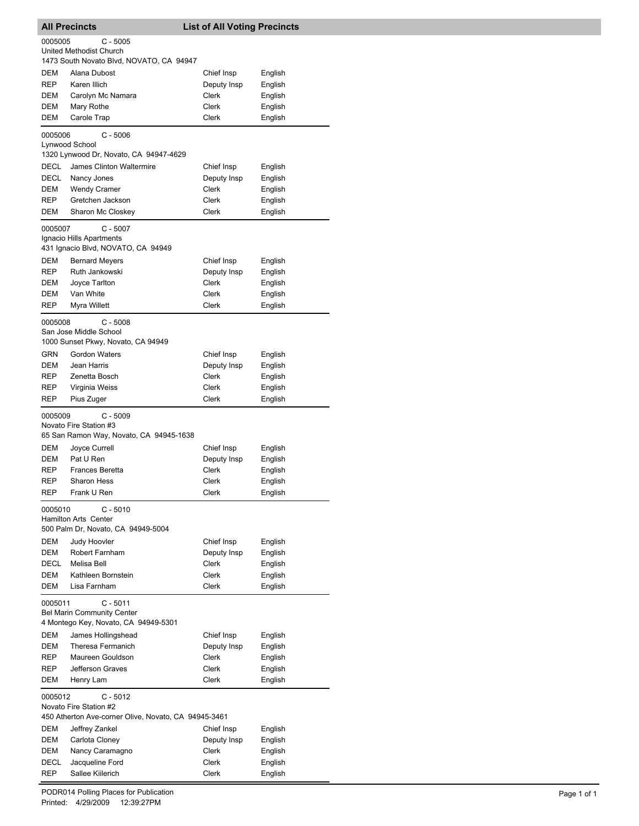| <b>All Precincts</b>              |                                                                            | <b>List of All Voting Precincts</b> |                    |  |
|-----------------------------------|----------------------------------------------------------------------------|-------------------------------------|--------------------|--|
| 0005005                           | $C - 5005$                                                                 |                                     |                    |  |
|                                   | <b>United Methodist Church</b><br>1473 South Novato Blvd, NOVATO, CA 94947 |                                     |                    |  |
| DEM                               | Alana Dubost                                                               | Chief Insp                          | English            |  |
| <b>REP</b>                        | Karen Illich                                                               | Deputy Insp                         | English            |  |
| DEM                               | Carolyn Mc Namara                                                          | Clerk                               | English            |  |
| DEM                               | Mary Rothe                                                                 | Clerk                               | English            |  |
| DEM                               | Carole Trap                                                                | <b>Clerk</b>                        | English            |  |
| 0005006                           | $C - 5006$                                                                 |                                     |                    |  |
|                                   | Lynwood School<br>1320 Lynwood Dr, Novato, CA 94947-4629                   |                                     |                    |  |
| DECL                              | James Clinton Waltermire                                                   | Chief Insp                          | English            |  |
| DECL                              | Nancy Jones                                                                | Deputy Insp                         | English            |  |
| DEM                               | <b>Wendy Cramer</b>                                                        | Clerk                               | English            |  |
| REP                               | Gretchen Jackson                                                           | Clerk                               | English            |  |
| DEM                               | Sharon Mc Closkey                                                          | Clerk                               | English            |  |
| 0005007                           | $C - 5007$                                                                 |                                     |                    |  |
|                                   | Ignacio Hills Apartments                                                   |                                     |                    |  |
|                                   | 431 Ignacio Blvd, NOVATO, CA 94949                                         |                                     |                    |  |
| <b>DEM</b><br><b>REP</b>          | <b>Bernard Meyers</b><br>Ruth Jankowski                                    | Chief Insp<br>Deputy Insp           | English<br>English |  |
| DEM                               | Joyce Tarlton                                                              | Clerk                               | English            |  |
| DEM                               | Van White                                                                  | Clerk                               | English            |  |
| <b>REP</b>                        | Myra Willett                                                               | <b>Clerk</b>                        | English            |  |
| 0005008                           | $C - 5008$                                                                 |                                     |                    |  |
|                                   | San Jose Middle School                                                     |                                     |                    |  |
|                                   | 1000 Sunset Pkwy, Novato, CA 94949                                         |                                     |                    |  |
| GRN                               | <b>Gordon Waters</b>                                                       | Chief Insp                          | English            |  |
| DEM                               | Jean Harris                                                                | Deputy Insp                         | English            |  |
| <b>REP</b><br>REP                 | Zenetta Bosch<br>Virginia Weiss                                            | Clerk<br>Clerk                      | English            |  |
| <b>REP</b>                        | Pius Zuger                                                                 | Clerk                               | English<br>English |  |
|                                   |                                                                            |                                     |                    |  |
| 0005009                           | $C - 5009$<br>Novato Fire Station #3                                       |                                     |                    |  |
|                                   | 65 San Ramon Way, Novato, CA 94945-1638                                    |                                     |                    |  |
| DEM                               | Joyce Currell                                                              | Chief Insp                          | English            |  |
| DEM                               | Pat U Ren                                                                  | Deputy Insp                         | English            |  |
| REP                               | <b>Frances Beretta</b>                                                     | Clerk                               | English            |  |
| REP<br>REP                        | <b>Sharon Hess</b><br>Frank U Ren                                          | Clerk<br>Clerk                      | English<br>English |  |
|                                   |                                                                            |                                     |                    |  |
| 0005010                           | $C - 5010$<br><b>Hamilton Arts Center</b>                                  |                                     |                    |  |
|                                   | 500 Palm Dr, Novato, CA 94949-5004                                         |                                     |                    |  |
| DEM                               | Judy Hoovler                                                               | Chief Insp                          | English            |  |
| DEM                               | Robert Farnham                                                             | Deputy Insp                         | English            |  |
| <b>DECL</b>                       | Melisa Bell                                                                | Clerk                               | English            |  |
| DEM                               | Kathleen Bornstein                                                         | Clerk                               | English            |  |
| DEM                               | Lisa Farnham                                                               | Clerk                               | English            |  |
| $C - 5011$<br>0005011             |                                                                            |                                     |                    |  |
| <b>Bel Marin Community Center</b> |                                                                            |                                     |                    |  |
| DEM                               | 4 Montego Key, Novato, CA 94949-5301<br>James Hollingshead                 | Chief Insp                          |                    |  |
| DEM                               | Theresa Fermanich                                                          | Deputy Insp                         | English<br>English |  |
| REP                               | Maureen Gouldson                                                           | Clerk                               | English            |  |
| REP                               | Jefferson Graves                                                           | Clerk                               | English            |  |
| DEM                               | Henry Lam                                                                  | Clerk                               | English            |  |
| 0005012<br>$C - 5012$             |                                                                            |                                     |                    |  |
|                                   | Novato Fire Station #2                                                     |                                     |                    |  |
|                                   | 450 Atherton Ave-corner Olive, Novato, CA 94945-3461                       |                                     |                    |  |
| DEM                               | Jeffrey Zankel                                                             | Chief Insp                          | English            |  |
| DEM<br>DEM                        | Carlota Cloney<br>Nancy Caramagno                                          | Deputy Insp<br>Clerk                | English<br>English |  |
| DECL                              | Jacqueline Ford                                                            | Clerk                               | English            |  |
| REP                               | Sallee Kiilerich                                                           | Clerk                               | English            |  |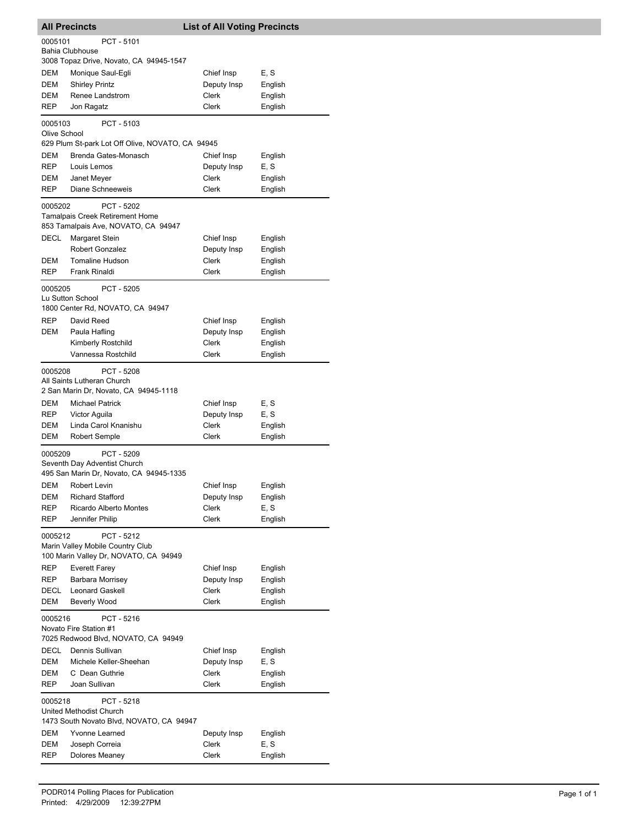| PCT - 5101<br>0005101<br>Bahia Clubhouse<br>3008 Topaz Drive, Novato, CA 94945-1547<br><b>DEM</b><br>Monique Saul-Egli<br>Chief Insp<br>E, S<br><b>DEM</b><br><b>Shirley Printz</b><br>Deputy Insp<br>English<br>Clerk<br>DEM<br>Renee Landstrom<br>English<br>REP<br>Clerk<br>Jon Ragatz<br>English<br>PCT - 5103<br>0005103<br>Olive School<br>629 Plum St-park Lot Off Olive, NOVATO, CA 94945<br>Brenda Gates-Monasch<br>DEM<br>Chief Insp<br>English<br><b>REP</b><br>E, S<br>Louis Lemos<br>Deputy Insp<br>Clerk<br>DEM<br>Janet Meyer<br>English<br>Diane Schneeweis<br>Clerk<br>REP<br>English<br>PCT - 5202<br>0005202<br>Tamalpais Creek Retirement Home<br>853 Tamalpais Ave, NOVATO, CA 94947<br>DECL<br>Chief Insp<br>Margaret Stein<br>English<br>Deputy Insp<br><b>Robert Gonzalez</b><br>English<br>DEM<br><b>Tomaline Hudson</b><br>Clerk<br>English<br>REP<br>Frank Rinaldi<br>Clerk<br>English<br>PCT - 5205<br>0005205<br>Lu Sutton School<br>1800 Center Rd, NOVATO, CA 94947<br><b>REP</b><br>David Reed<br>Chief Insp<br>English<br>DEM<br>Paula Hafling<br>Deputy Insp<br>English<br>Clerk<br>Kimberly Rostchild<br>English<br>Vannessa Rostchild<br>Clerk<br>English<br>0005208<br>PCT - 5208<br>All Saints Lutheran Church<br>2 San Marin Dr, Novato, CA 94945-1118<br>E, S<br>DEM<br>Michael Patrick<br>Chief Insp<br>E, S<br><b>REP</b><br>Victor Aguila<br>Deputy Insp<br>DEM<br>Linda Carol Knanishu<br>Clerk<br>English<br>DEM<br><b>Robert Semple</b><br>Clerk<br>English<br>0005209<br>PCT - 5209<br>Seventh Day Adventist Church<br>495 San Marin Dr, Novato, CA 94945-1335<br>DEM<br>Chief Insp<br>Robert Levin<br>English<br><b>Richard Stafford</b><br>DEM<br>Deputy Insp<br>English<br>E, S<br>REP<br><b>Ricardo Alberto Montes</b><br>Clerk<br>REP<br>Jennifer Philip<br>Clerk<br>English<br>0005212<br>PCT - 5212<br>Marin Valley Mobile Country Club<br>100 Marin Valley Dr, NOVATO, CA 94949<br><b>REP</b><br><b>Everett Farey</b><br>Chief Insp<br>English<br>REP<br><b>Barbara Morrisey</b><br>Deputy Insp<br>English<br>DECL<br><b>Leonard Gaskell</b><br>Clerk<br>English<br>Beverly Wood<br>DEM<br>Clerk<br>English<br>0005216<br>PCT - 5216<br>Novato Fire Station #1<br>7025 Redwood Blvd, NOVATO, CA 94949<br>DECL<br>Dennis Sullivan<br>Chief Insp<br>English<br>DEM<br>Michele Keller-Sheehan<br>Deputy Insp<br>E, S<br>DEM<br>C Dean Guthrie<br>Clerk<br>English<br>Joan Sullivan<br>REP<br>Clerk<br>English<br>0005218<br>PCT - 5218<br>United Methodist Church<br>1473 South Novato Blvd, NOVATO, CA 94947<br>DEM<br>Yvonne Learned<br>Deputy Insp<br>English<br>Clerk<br>E, S<br>DEM<br>Joseph Correia<br>REP<br>Dolores Meaney<br>Clerk<br>English | <b>All Precincts</b> |  | <b>List of All Voting Precincts</b> |  |  |
|-------------------------------------------------------------------------------------------------------------------------------------------------------------------------------------------------------------------------------------------------------------------------------------------------------------------------------------------------------------------------------------------------------------------------------------------------------------------------------------------------------------------------------------------------------------------------------------------------------------------------------------------------------------------------------------------------------------------------------------------------------------------------------------------------------------------------------------------------------------------------------------------------------------------------------------------------------------------------------------------------------------------------------------------------------------------------------------------------------------------------------------------------------------------------------------------------------------------------------------------------------------------------------------------------------------------------------------------------------------------------------------------------------------------------------------------------------------------------------------------------------------------------------------------------------------------------------------------------------------------------------------------------------------------------------------------------------------------------------------------------------------------------------------------------------------------------------------------------------------------------------------------------------------------------------------------------------------------------------------------------------------------------------------------------------------------------------------------------------------------------------------------------------------------------------------------------------------------------------------------------------------------------------------------------------------------------------------------------------------------------------------------------------------------------------------------------------------------------------------------------------------------------------------------------------------------------------------------------------------------------------------------------------------------------------------------------------------|----------------------|--|-------------------------------------|--|--|
|                                                                                                                                                                                                                                                                                                                                                                                                                                                                                                                                                                                                                                                                                                                                                                                                                                                                                                                                                                                                                                                                                                                                                                                                                                                                                                                                                                                                                                                                                                                                                                                                                                                                                                                                                                                                                                                                                                                                                                                                                                                                                                                                                                                                                                                                                                                                                                                                                                                                                                                                                                                                                                                                                                             |                      |  |                                     |  |  |
|                                                                                                                                                                                                                                                                                                                                                                                                                                                                                                                                                                                                                                                                                                                                                                                                                                                                                                                                                                                                                                                                                                                                                                                                                                                                                                                                                                                                                                                                                                                                                                                                                                                                                                                                                                                                                                                                                                                                                                                                                                                                                                                                                                                                                                                                                                                                                                                                                                                                                                                                                                                                                                                                                                             |                      |  |                                     |  |  |
|                                                                                                                                                                                                                                                                                                                                                                                                                                                                                                                                                                                                                                                                                                                                                                                                                                                                                                                                                                                                                                                                                                                                                                                                                                                                                                                                                                                                                                                                                                                                                                                                                                                                                                                                                                                                                                                                                                                                                                                                                                                                                                                                                                                                                                                                                                                                                                                                                                                                                                                                                                                                                                                                                                             |                      |  |                                     |  |  |
|                                                                                                                                                                                                                                                                                                                                                                                                                                                                                                                                                                                                                                                                                                                                                                                                                                                                                                                                                                                                                                                                                                                                                                                                                                                                                                                                                                                                                                                                                                                                                                                                                                                                                                                                                                                                                                                                                                                                                                                                                                                                                                                                                                                                                                                                                                                                                                                                                                                                                                                                                                                                                                                                                                             |                      |  |                                     |  |  |
|                                                                                                                                                                                                                                                                                                                                                                                                                                                                                                                                                                                                                                                                                                                                                                                                                                                                                                                                                                                                                                                                                                                                                                                                                                                                                                                                                                                                                                                                                                                                                                                                                                                                                                                                                                                                                                                                                                                                                                                                                                                                                                                                                                                                                                                                                                                                                                                                                                                                                                                                                                                                                                                                                                             |                      |  |                                     |  |  |
|                                                                                                                                                                                                                                                                                                                                                                                                                                                                                                                                                                                                                                                                                                                                                                                                                                                                                                                                                                                                                                                                                                                                                                                                                                                                                                                                                                                                                                                                                                                                                                                                                                                                                                                                                                                                                                                                                                                                                                                                                                                                                                                                                                                                                                                                                                                                                                                                                                                                                                                                                                                                                                                                                                             |                      |  |                                     |  |  |
|                                                                                                                                                                                                                                                                                                                                                                                                                                                                                                                                                                                                                                                                                                                                                                                                                                                                                                                                                                                                                                                                                                                                                                                                                                                                                                                                                                                                                                                                                                                                                                                                                                                                                                                                                                                                                                                                                                                                                                                                                                                                                                                                                                                                                                                                                                                                                                                                                                                                                                                                                                                                                                                                                                             |                      |  |                                     |  |  |
|                                                                                                                                                                                                                                                                                                                                                                                                                                                                                                                                                                                                                                                                                                                                                                                                                                                                                                                                                                                                                                                                                                                                                                                                                                                                                                                                                                                                                                                                                                                                                                                                                                                                                                                                                                                                                                                                                                                                                                                                                                                                                                                                                                                                                                                                                                                                                                                                                                                                                                                                                                                                                                                                                                             |                      |  |                                     |  |  |
|                                                                                                                                                                                                                                                                                                                                                                                                                                                                                                                                                                                                                                                                                                                                                                                                                                                                                                                                                                                                                                                                                                                                                                                                                                                                                                                                                                                                                                                                                                                                                                                                                                                                                                                                                                                                                                                                                                                                                                                                                                                                                                                                                                                                                                                                                                                                                                                                                                                                                                                                                                                                                                                                                                             |                      |  |                                     |  |  |
|                                                                                                                                                                                                                                                                                                                                                                                                                                                                                                                                                                                                                                                                                                                                                                                                                                                                                                                                                                                                                                                                                                                                                                                                                                                                                                                                                                                                                                                                                                                                                                                                                                                                                                                                                                                                                                                                                                                                                                                                                                                                                                                                                                                                                                                                                                                                                                                                                                                                                                                                                                                                                                                                                                             |                      |  |                                     |  |  |
|                                                                                                                                                                                                                                                                                                                                                                                                                                                                                                                                                                                                                                                                                                                                                                                                                                                                                                                                                                                                                                                                                                                                                                                                                                                                                                                                                                                                                                                                                                                                                                                                                                                                                                                                                                                                                                                                                                                                                                                                                                                                                                                                                                                                                                                                                                                                                                                                                                                                                                                                                                                                                                                                                                             |                      |  |                                     |  |  |
|                                                                                                                                                                                                                                                                                                                                                                                                                                                                                                                                                                                                                                                                                                                                                                                                                                                                                                                                                                                                                                                                                                                                                                                                                                                                                                                                                                                                                                                                                                                                                                                                                                                                                                                                                                                                                                                                                                                                                                                                                                                                                                                                                                                                                                                                                                                                                                                                                                                                                                                                                                                                                                                                                                             |                      |  |                                     |  |  |
|                                                                                                                                                                                                                                                                                                                                                                                                                                                                                                                                                                                                                                                                                                                                                                                                                                                                                                                                                                                                                                                                                                                                                                                                                                                                                                                                                                                                                                                                                                                                                                                                                                                                                                                                                                                                                                                                                                                                                                                                                                                                                                                                                                                                                                                                                                                                                                                                                                                                                                                                                                                                                                                                                                             |                      |  |                                     |  |  |
|                                                                                                                                                                                                                                                                                                                                                                                                                                                                                                                                                                                                                                                                                                                                                                                                                                                                                                                                                                                                                                                                                                                                                                                                                                                                                                                                                                                                                                                                                                                                                                                                                                                                                                                                                                                                                                                                                                                                                                                                                                                                                                                                                                                                                                                                                                                                                                                                                                                                                                                                                                                                                                                                                                             |                      |  |                                     |  |  |
|                                                                                                                                                                                                                                                                                                                                                                                                                                                                                                                                                                                                                                                                                                                                                                                                                                                                                                                                                                                                                                                                                                                                                                                                                                                                                                                                                                                                                                                                                                                                                                                                                                                                                                                                                                                                                                                                                                                                                                                                                                                                                                                                                                                                                                                                                                                                                                                                                                                                                                                                                                                                                                                                                                             |                      |  |                                     |  |  |
|                                                                                                                                                                                                                                                                                                                                                                                                                                                                                                                                                                                                                                                                                                                                                                                                                                                                                                                                                                                                                                                                                                                                                                                                                                                                                                                                                                                                                                                                                                                                                                                                                                                                                                                                                                                                                                                                                                                                                                                                                                                                                                                                                                                                                                                                                                                                                                                                                                                                                                                                                                                                                                                                                                             |                      |  |                                     |  |  |
|                                                                                                                                                                                                                                                                                                                                                                                                                                                                                                                                                                                                                                                                                                                                                                                                                                                                                                                                                                                                                                                                                                                                                                                                                                                                                                                                                                                                                                                                                                                                                                                                                                                                                                                                                                                                                                                                                                                                                                                                                                                                                                                                                                                                                                                                                                                                                                                                                                                                                                                                                                                                                                                                                                             |                      |  |                                     |  |  |
|                                                                                                                                                                                                                                                                                                                                                                                                                                                                                                                                                                                                                                                                                                                                                                                                                                                                                                                                                                                                                                                                                                                                                                                                                                                                                                                                                                                                                                                                                                                                                                                                                                                                                                                                                                                                                                                                                                                                                                                                                                                                                                                                                                                                                                                                                                                                                                                                                                                                                                                                                                                                                                                                                                             |                      |  |                                     |  |  |
|                                                                                                                                                                                                                                                                                                                                                                                                                                                                                                                                                                                                                                                                                                                                                                                                                                                                                                                                                                                                                                                                                                                                                                                                                                                                                                                                                                                                                                                                                                                                                                                                                                                                                                                                                                                                                                                                                                                                                                                                                                                                                                                                                                                                                                                                                                                                                                                                                                                                                                                                                                                                                                                                                                             |                      |  |                                     |  |  |
|                                                                                                                                                                                                                                                                                                                                                                                                                                                                                                                                                                                                                                                                                                                                                                                                                                                                                                                                                                                                                                                                                                                                                                                                                                                                                                                                                                                                                                                                                                                                                                                                                                                                                                                                                                                                                                                                                                                                                                                                                                                                                                                                                                                                                                                                                                                                                                                                                                                                                                                                                                                                                                                                                                             |                      |  |                                     |  |  |
|                                                                                                                                                                                                                                                                                                                                                                                                                                                                                                                                                                                                                                                                                                                                                                                                                                                                                                                                                                                                                                                                                                                                                                                                                                                                                                                                                                                                                                                                                                                                                                                                                                                                                                                                                                                                                                                                                                                                                                                                                                                                                                                                                                                                                                                                                                                                                                                                                                                                                                                                                                                                                                                                                                             |                      |  |                                     |  |  |
|                                                                                                                                                                                                                                                                                                                                                                                                                                                                                                                                                                                                                                                                                                                                                                                                                                                                                                                                                                                                                                                                                                                                                                                                                                                                                                                                                                                                                                                                                                                                                                                                                                                                                                                                                                                                                                                                                                                                                                                                                                                                                                                                                                                                                                                                                                                                                                                                                                                                                                                                                                                                                                                                                                             |                      |  |                                     |  |  |
|                                                                                                                                                                                                                                                                                                                                                                                                                                                                                                                                                                                                                                                                                                                                                                                                                                                                                                                                                                                                                                                                                                                                                                                                                                                                                                                                                                                                                                                                                                                                                                                                                                                                                                                                                                                                                                                                                                                                                                                                                                                                                                                                                                                                                                                                                                                                                                                                                                                                                                                                                                                                                                                                                                             |                      |  |                                     |  |  |
|                                                                                                                                                                                                                                                                                                                                                                                                                                                                                                                                                                                                                                                                                                                                                                                                                                                                                                                                                                                                                                                                                                                                                                                                                                                                                                                                                                                                                                                                                                                                                                                                                                                                                                                                                                                                                                                                                                                                                                                                                                                                                                                                                                                                                                                                                                                                                                                                                                                                                                                                                                                                                                                                                                             |                      |  |                                     |  |  |
|                                                                                                                                                                                                                                                                                                                                                                                                                                                                                                                                                                                                                                                                                                                                                                                                                                                                                                                                                                                                                                                                                                                                                                                                                                                                                                                                                                                                                                                                                                                                                                                                                                                                                                                                                                                                                                                                                                                                                                                                                                                                                                                                                                                                                                                                                                                                                                                                                                                                                                                                                                                                                                                                                                             |                      |  |                                     |  |  |
|                                                                                                                                                                                                                                                                                                                                                                                                                                                                                                                                                                                                                                                                                                                                                                                                                                                                                                                                                                                                                                                                                                                                                                                                                                                                                                                                                                                                                                                                                                                                                                                                                                                                                                                                                                                                                                                                                                                                                                                                                                                                                                                                                                                                                                                                                                                                                                                                                                                                                                                                                                                                                                                                                                             |                      |  |                                     |  |  |
|                                                                                                                                                                                                                                                                                                                                                                                                                                                                                                                                                                                                                                                                                                                                                                                                                                                                                                                                                                                                                                                                                                                                                                                                                                                                                                                                                                                                                                                                                                                                                                                                                                                                                                                                                                                                                                                                                                                                                                                                                                                                                                                                                                                                                                                                                                                                                                                                                                                                                                                                                                                                                                                                                                             |                      |  |                                     |  |  |
|                                                                                                                                                                                                                                                                                                                                                                                                                                                                                                                                                                                                                                                                                                                                                                                                                                                                                                                                                                                                                                                                                                                                                                                                                                                                                                                                                                                                                                                                                                                                                                                                                                                                                                                                                                                                                                                                                                                                                                                                                                                                                                                                                                                                                                                                                                                                                                                                                                                                                                                                                                                                                                                                                                             |                      |  |                                     |  |  |
|                                                                                                                                                                                                                                                                                                                                                                                                                                                                                                                                                                                                                                                                                                                                                                                                                                                                                                                                                                                                                                                                                                                                                                                                                                                                                                                                                                                                                                                                                                                                                                                                                                                                                                                                                                                                                                                                                                                                                                                                                                                                                                                                                                                                                                                                                                                                                                                                                                                                                                                                                                                                                                                                                                             |                      |  |                                     |  |  |
|                                                                                                                                                                                                                                                                                                                                                                                                                                                                                                                                                                                                                                                                                                                                                                                                                                                                                                                                                                                                                                                                                                                                                                                                                                                                                                                                                                                                                                                                                                                                                                                                                                                                                                                                                                                                                                                                                                                                                                                                                                                                                                                                                                                                                                                                                                                                                                                                                                                                                                                                                                                                                                                                                                             |                      |  |                                     |  |  |
|                                                                                                                                                                                                                                                                                                                                                                                                                                                                                                                                                                                                                                                                                                                                                                                                                                                                                                                                                                                                                                                                                                                                                                                                                                                                                                                                                                                                                                                                                                                                                                                                                                                                                                                                                                                                                                                                                                                                                                                                                                                                                                                                                                                                                                                                                                                                                                                                                                                                                                                                                                                                                                                                                                             |                      |  |                                     |  |  |
|                                                                                                                                                                                                                                                                                                                                                                                                                                                                                                                                                                                                                                                                                                                                                                                                                                                                                                                                                                                                                                                                                                                                                                                                                                                                                                                                                                                                                                                                                                                                                                                                                                                                                                                                                                                                                                                                                                                                                                                                                                                                                                                                                                                                                                                                                                                                                                                                                                                                                                                                                                                                                                                                                                             |                      |  |                                     |  |  |
|                                                                                                                                                                                                                                                                                                                                                                                                                                                                                                                                                                                                                                                                                                                                                                                                                                                                                                                                                                                                                                                                                                                                                                                                                                                                                                                                                                                                                                                                                                                                                                                                                                                                                                                                                                                                                                                                                                                                                                                                                                                                                                                                                                                                                                                                                                                                                                                                                                                                                                                                                                                                                                                                                                             |                      |  |                                     |  |  |
|                                                                                                                                                                                                                                                                                                                                                                                                                                                                                                                                                                                                                                                                                                                                                                                                                                                                                                                                                                                                                                                                                                                                                                                                                                                                                                                                                                                                                                                                                                                                                                                                                                                                                                                                                                                                                                                                                                                                                                                                                                                                                                                                                                                                                                                                                                                                                                                                                                                                                                                                                                                                                                                                                                             |                      |  |                                     |  |  |
|                                                                                                                                                                                                                                                                                                                                                                                                                                                                                                                                                                                                                                                                                                                                                                                                                                                                                                                                                                                                                                                                                                                                                                                                                                                                                                                                                                                                                                                                                                                                                                                                                                                                                                                                                                                                                                                                                                                                                                                                                                                                                                                                                                                                                                                                                                                                                                                                                                                                                                                                                                                                                                                                                                             |                      |  |                                     |  |  |
|                                                                                                                                                                                                                                                                                                                                                                                                                                                                                                                                                                                                                                                                                                                                                                                                                                                                                                                                                                                                                                                                                                                                                                                                                                                                                                                                                                                                                                                                                                                                                                                                                                                                                                                                                                                                                                                                                                                                                                                                                                                                                                                                                                                                                                                                                                                                                                                                                                                                                                                                                                                                                                                                                                             |                      |  |                                     |  |  |
|                                                                                                                                                                                                                                                                                                                                                                                                                                                                                                                                                                                                                                                                                                                                                                                                                                                                                                                                                                                                                                                                                                                                                                                                                                                                                                                                                                                                                                                                                                                                                                                                                                                                                                                                                                                                                                                                                                                                                                                                                                                                                                                                                                                                                                                                                                                                                                                                                                                                                                                                                                                                                                                                                                             |                      |  |                                     |  |  |
|                                                                                                                                                                                                                                                                                                                                                                                                                                                                                                                                                                                                                                                                                                                                                                                                                                                                                                                                                                                                                                                                                                                                                                                                                                                                                                                                                                                                                                                                                                                                                                                                                                                                                                                                                                                                                                                                                                                                                                                                                                                                                                                                                                                                                                                                                                                                                                                                                                                                                                                                                                                                                                                                                                             |                      |  |                                     |  |  |
|                                                                                                                                                                                                                                                                                                                                                                                                                                                                                                                                                                                                                                                                                                                                                                                                                                                                                                                                                                                                                                                                                                                                                                                                                                                                                                                                                                                                                                                                                                                                                                                                                                                                                                                                                                                                                                                                                                                                                                                                                                                                                                                                                                                                                                                                                                                                                                                                                                                                                                                                                                                                                                                                                                             |                      |  |                                     |  |  |
|                                                                                                                                                                                                                                                                                                                                                                                                                                                                                                                                                                                                                                                                                                                                                                                                                                                                                                                                                                                                                                                                                                                                                                                                                                                                                                                                                                                                                                                                                                                                                                                                                                                                                                                                                                                                                                                                                                                                                                                                                                                                                                                                                                                                                                                                                                                                                                                                                                                                                                                                                                                                                                                                                                             |                      |  |                                     |  |  |
|                                                                                                                                                                                                                                                                                                                                                                                                                                                                                                                                                                                                                                                                                                                                                                                                                                                                                                                                                                                                                                                                                                                                                                                                                                                                                                                                                                                                                                                                                                                                                                                                                                                                                                                                                                                                                                                                                                                                                                                                                                                                                                                                                                                                                                                                                                                                                                                                                                                                                                                                                                                                                                                                                                             |                      |  |                                     |  |  |
|                                                                                                                                                                                                                                                                                                                                                                                                                                                                                                                                                                                                                                                                                                                                                                                                                                                                                                                                                                                                                                                                                                                                                                                                                                                                                                                                                                                                                                                                                                                                                                                                                                                                                                                                                                                                                                                                                                                                                                                                                                                                                                                                                                                                                                                                                                                                                                                                                                                                                                                                                                                                                                                                                                             |                      |  |                                     |  |  |
|                                                                                                                                                                                                                                                                                                                                                                                                                                                                                                                                                                                                                                                                                                                                                                                                                                                                                                                                                                                                                                                                                                                                                                                                                                                                                                                                                                                                                                                                                                                                                                                                                                                                                                                                                                                                                                                                                                                                                                                                                                                                                                                                                                                                                                                                                                                                                                                                                                                                                                                                                                                                                                                                                                             |                      |  |                                     |  |  |
|                                                                                                                                                                                                                                                                                                                                                                                                                                                                                                                                                                                                                                                                                                                                                                                                                                                                                                                                                                                                                                                                                                                                                                                                                                                                                                                                                                                                                                                                                                                                                                                                                                                                                                                                                                                                                                                                                                                                                                                                                                                                                                                                                                                                                                                                                                                                                                                                                                                                                                                                                                                                                                                                                                             |                      |  |                                     |  |  |
|                                                                                                                                                                                                                                                                                                                                                                                                                                                                                                                                                                                                                                                                                                                                                                                                                                                                                                                                                                                                                                                                                                                                                                                                                                                                                                                                                                                                                                                                                                                                                                                                                                                                                                                                                                                                                                                                                                                                                                                                                                                                                                                                                                                                                                                                                                                                                                                                                                                                                                                                                                                                                                                                                                             |                      |  |                                     |  |  |
|                                                                                                                                                                                                                                                                                                                                                                                                                                                                                                                                                                                                                                                                                                                                                                                                                                                                                                                                                                                                                                                                                                                                                                                                                                                                                                                                                                                                                                                                                                                                                                                                                                                                                                                                                                                                                                                                                                                                                                                                                                                                                                                                                                                                                                                                                                                                                                                                                                                                                                                                                                                                                                                                                                             |                      |  |                                     |  |  |
|                                                                                                                                                                                                                                                                                                                                                                                                                                                                                                                                                                                                                                                                                                                                                                                                                                                                                                                                                                                                                                                                                                                                                                                                                                                                                                                                                                                                                                                                                                                                                                                                                                                                                                                                                                                                                                                                                                                                                                                                                                                                                                                                                                                                                                                                                                                                                                                                                                                                                                                                                                                                                                                                                                             |                      |  |                                     |  |  |
|                                                                                                                                                                                                                                                                                                                                                                                                                                                                                                                                                                                                                                                                                                                                                                                                                                                                                                                                                                                                                                                                                                                                                                                                                                                                                                                                                                                                                                                                                                                                                                                                                                                                                                                                                                                                                                                                                                                                                                                                                                                                                                                                                                                                                                                                                                                                                                                                                                                                                                                                                                                                                                                                                                             |                      |  |                                     |  |  |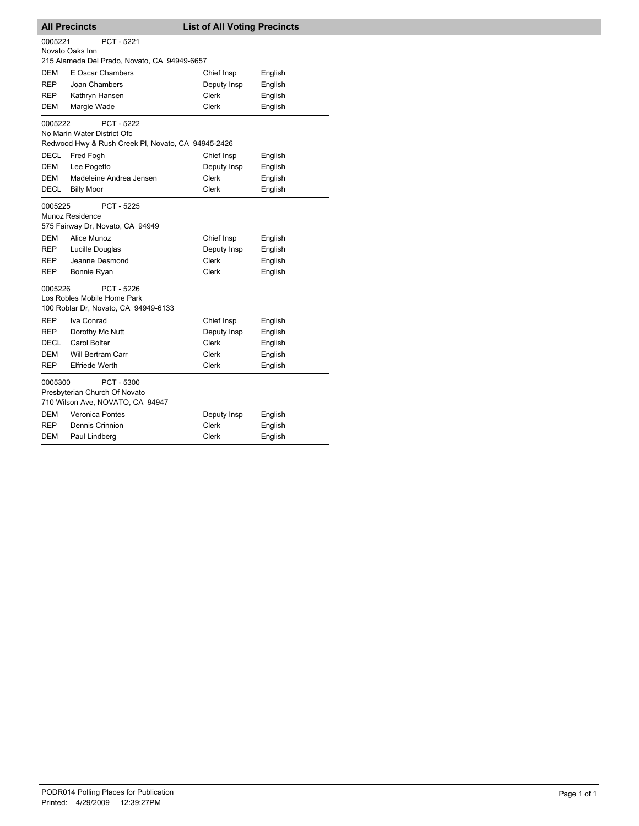| <b>All Precincts</b>                                                                         |                                                                                                                       | <b>List of All Voting Precincts</b>       |                               |  |  |
|----------------------------------------------------------------------------------------------|-----------------------------------------------------------------------------------------------------------------------|-------------------------------------------|-------------------------------|--|--|
| 0005221<br>PCT - 5221<br>Novato Oaks Inn<br>215 Alameda Del Prado, Novato, CA 94949-6657     |                                                                                                                       |                                           |                               |  |  |
| DEM                                                                                          | E Oscar Chambers                                                                                                      | Chief Insp                                | English                       |  |  |
| <b>REP</b>                                                                                   | Joan Chambers                                                                                                         | Deputy Insp                               | English                       |  |  |
| REP                                                                                          | Kathryn Hansen                                                                                                        | <b>Clerk</b>                              | English                       |  |  |
| DEM                                                                                          | Margie Wade                                                                                                           | Clerk                                     | English                       |  |  |
|                                                                                              | 0005222<br><b>PCT - 5222</b><br>No Marin Water District Ofc<br>Redwood Hwy & Rush Creek PI, Novato, CA 94945-2426     |                                           |                               |  |  |
| <b>DECL</b>                                                                                  | Fred Fogh                                                                                                             | Chief Insp                                | English                       |  |  |
| DEM                                                                                          | Lee Pogetto                                                                                                           | Deputy Insp                               | English                       |  |  |
| DEM                                                                                          | Madeleine Andrea Jensen                                                                                               | Clerk                                     | English                       |  |  |
| DECL                                                                                         | <b>Billy Moor</b>                                                                                                     | <b>Clerk</b>                              | English                       |  |  |
| 0005225<br>DEM<br><b>REP</b><br>REP                                                          | PCT - 5225<br>Munoz Residence<br>575 Fairway Dr, Novato, CA 94949<br>Alice Munoz<br>Lucille Douglas<br>Jeanne Desmond | Chief Insp<br>Deputy Insp<br><b>Clerk</b> | English<br>English<br>English |  |  |
| REP                                                                                          | Bonnie Ryan                                                                                                           | <b>Clerk</b>                              | English                       |  |  |
| 0005226<br>PCT - 5226<br>Los Robles Mobile Home Park<br>100 Roblar Dr, Novato, CA 94949-6133 |                                                                                                                       |                                           |                               |  |  |
| REP                                                                                          | Iva Conrad                                                                                                            | Chief Insp                                | English                       |  |  |
| REP                                                                                          | Dorothy Mc Nutt                                                                                                       | Deputy Insp                               | English                       |  |  |
| DECL                                                                                         | Carol Bolter                                                                                                          | Clerk                                     | English                       |  |  |
| DEM                                                                                          | Will Bertram Carr                                                                                                     | Clerk                                     | English                       |  |  |
| REP                                                                                          | <b>Elfriede Werth</b>                                                                                                 | Clerk                                     | English                       |  |  |
| 0005300                                                                                      | PCT - 5300<br>Presbyterian Church Of Novato<br>710 Wilson Ave, NOVATO, CA 94947                                       |                                           |                               |  |  |
| DEM                                                                                          | <b>Veronica Pontes</b>                                                                                                | Deputy Insp                               | English                       |  |  |
| REP                                                                                          | Dennis Crinnion                                                                                                       | <b>Clerk</b>                              | English                       |  |  |
| DEM                                                                                          | Paul Lindberg                                                                                                         | Clerk                                     | English                       |  |  |